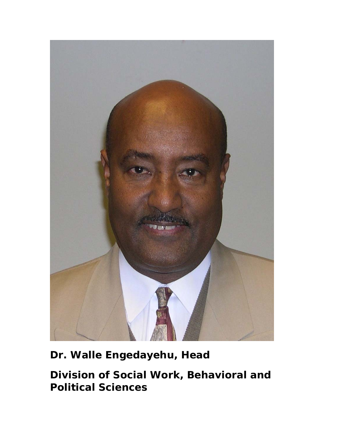

# **Dr. Walle Engedayehu, Head**

**Division of Social Work, Behavioral and Political Sciences**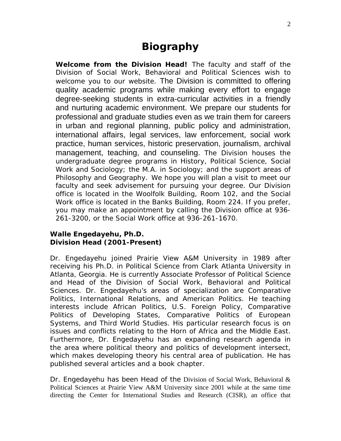# **Biography**

**Welcome from the Division Head!** The faculty and staff of the Division of Social Work, Behavioral and Political Sciences wish to welcome you to our website. The Division is committed to offering quality academic programs while making every effort to engage degree-seeking students in extra-curricular activities in a friendly and nurturing academic environment. We prepare our students for professional and graduate studies even as we train them for careers in urban and regional planning, public policy and administration, international affairs, legal services, law enforcement, social work practice, human services, historic preservation, journalism, archival management, teaching, and counseling. The Division houses the undergraduate degree programs in History, Political Science, Social Work and Sociology; the M.A. in Sociology; and the support areas of Philosophy and Geography. We hope you will plan a visit to meet our faculty and seek advisement for pursuing your degree. Our Division office is located in the Woolfolk Building, Room 102, and the Social Work office is located in the Banks Building, Room 224. If you prefer, you may make an appointment by calling the Division office at 936- 261-3200, or the Social Work office at 936-261-1670.

### **Walle Engedayehu, Ph.D. Division Head (2001-Present)**

Dr. Engedayehu joined Prairie View A&M University in 1989 after receiving his Ph.D. in Political Science from Clark Atlanta University in Atlanta, Georgia. He is currently Associate Professor of Political Science and Head of the Division of Social Work, Behavioral and Political Sciences. Dr. Engedayehu's areas of specialization are Comparative Politics, International Relations, and American Politics. He teaching interests include African Politics, U.S. Foreign Policy, Comparative Politics of Developing States, Comparative Politics of European Systems, and Third World Studies. His particular research focus is on issues and conflicts relating to the Horn of Africa and the Middle East. Furthermore, Dr. Engedayehu has an expanding research agenda in the area where political theory and politics of development intersect, which makes developing theory his central area of publication. He has published several articles and a book chapter.

Dr. Engedayehu has been Head of the Division of Social Work, Behavioral & Political Sciences at Prairie View A&M University since 2001 while at the same time directing the Center for International Studies and Research (CISR), an office that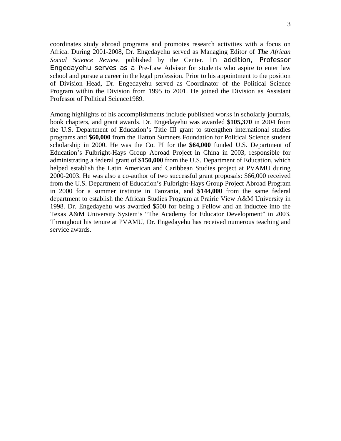coordinates study abroad programs and promotes research activities with a focus on Africa. During 2001-2008, Dr. Engedayehu served as Managing Editor of *The African Social Science Review*, published by the Center. In addition, Professor Engedayehu serves as a Pre-Law Advisor for students who aspire to enter law school and pursue a career in the legal profession. Prior to his appointment to the position of Division Head, Dr. Engedayehu served as Coordinator of the Political Science Program within the Division from 1995 to 2001. He joined the Division as Assistant Professor of Political Science1989.

Among highlights of his accomplishments include published works in scholarly journals, book chapters, and grant awards. Dr. Engedayehu was awarded **\$105,370** in 2004 from the U.S. Department of Education's Title III grant to strengthen international studies programs and **\$60,000** from the Hatton Sumners Foundation for Political Science student scholarship in 2000. He was the Co. PI for the **\$64,000** funded U.S. Department of Education's Fulbright-Hays Group Abroad Project in China in 2003, responsible for administrating a federal grant of **\$150,000** from the U.S. Department of Education, which helped establish the Latin American and Caribbean Studies project at PVAMU during 2000-2003. He was also a co-author of two successful grant proposals: \$66,000 received from the U.S. Department of Education's Fulbright-Hays Group Project Abroad Program in 2000 for a summer institute in Tanzania, and **\$144,000** from the same federal department to establish the African Studies Program at Prairie View A&M University in 1998. Dr. Engedayehu was awarded \$500 for being a Fellow and an inductee into the Texas A&M University System's "The Academy for Educator Development" in 2003. Throughout his tenure at PVAMU, Dr. Engedayehu has received numerous teaching and service awards.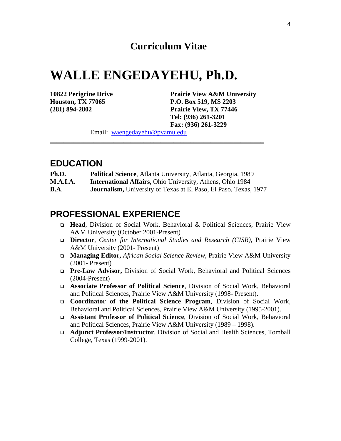# **WALLE ENGEDAYEHU, Ph.D.**

**10822 Perigrine Drive Prairie View A&M University Houston, TX 77065 P.O. Box 519, MS 2203 (281) 894-2802 Prairie View, TX 77446 Tel: (936) 261-3201 Fax: (936) 261-3229** 

Email: [waengedayehu@pvamu.edu](mailto:waengedayehu@pvamu.edu)

## **EDUCATION**

- **Ph.D. Political Science**, Atlanta University, Atlanta, Georgia, 1989
- **M.A.I.A. International Affairs**, Ohio University, Athens, Ohio 1984
- **B.A**. **Journalism,** University of Texas at El Paso, El Paso, Texas, 1977

\_\_\_\_\_\_\_\_\_\_\_\_\_\_\_\_\_\_\_\_\_\_\_\_\_\_\_\_\_\_\_\_\_\_\_\_\_\_\_\_\_\_\_\_\_\_\_\_\_\_\_\_\_\_\_\_\_\_\_\_\_\_\_\_

## **PROFESSIONAL EXPERIENCE**

- **Head**, Division of Social Work, Behavioral & Political Sciences, Prairie View A&M University (October 2001-Present)
- **Director**, *Center for International Studies and Research (CISR),* Prairie View A&M University (2001- Present)
- **Managing Editor,** *African Social Science Review*, Prairie View A&M University (2001- Present)
- **Pre-Law Advisor,** Division of Social Work, Behavioral and Political Sciences (2004-Present)
- **Associate Professor of Political Science**, Division of Social Work, Behavioral and Political Sciences, Prairie View A&M University (1998- Present).
- **Coordinator of the Political Science Program**, Division of Social Work, Behavioral and Political Sciences, Prairie View A&M University (1995-2001).
- **Assistant Professor of Political Science**, Division of Social Work, Behavioral and Political Sciences, Prairie View A&M University (1989 – 1998).
- **Adjunct Professor/Instructor**, Division of Social and Health Sciences, Tomball College, Texas (1999-2001).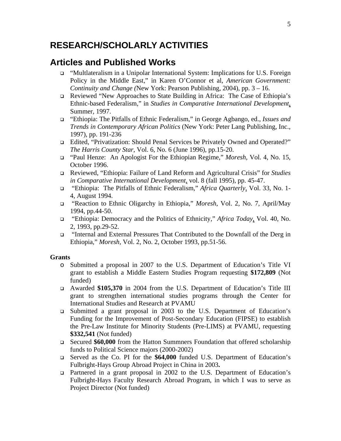## **RESEARCH/SCHOLARLY ACTIVITIES**

## **Articles and Published Works**

- "Multlateralism in a Unipolar International System: Implications for U.S. Foreign Policy in the Middle East," in Karen O'Connor et al*, American Government: Continuity and Change (*New York: Pearson Publishing, 2004), pp. 3 – 16.
- Reviewed "New Approaches to State Building in Africa: The Case of Ethiopia's Ethnic-based Federalism," in *Studies in Comparative International Development*, Summer*,* 1997.
- "Ethiopia: The Pitfalls of Ethnic Federalism," in George Agbango, ed., *Issues and Trends in Contemporary African Politics* (New York: Peter Lang Publishing, Inc., 1997), pp. 191-236
- Edited, "Privatization: Should Penal Services be Privately Owned and Operated?" *The Harris County Star*, Vol. 6, No. 6 (June 1996), pp.15-20.
- "Paul Henze: An Apologist For the Ethiopian Regime," *Moresh,* Vol. 4, No. 15, October 1996.
- Reviewed, "Ethiopia: Failure of Land Reform and Agricultural Crisis" for *Studies in Comparative International Development*, vol. 8 (fall 1995), pp. 45-47.
- "Ethiopia: The Pitfalls of Ethnic Federalism," *Africa Quarterly*, Vol. 33, No. 1- 4, August 1994.
- "Reaction to Ethnic Oligarchy in Ethiopia," *Moresh*, Vol. 2, No. 7, April/May 1994, pp.44-50.
- "Ethiopia: Democracy and the Politics of Ethnicity," *Africa Today*, Vol. 40, No. 2, 1993, pp.29-52.
- "Internal and External Pressures That Contributed to the Downfall of the Derg in Ethiopia," *Moresh,* Vol. 2, No. 2, October 1993, pp.51-56.

#### **Grants**

- o Submitted a proposal in 2007 to the U.S. Department of Education's Title VI grant to establish a Middle Eastern Studies Program requesting **\$172,809** (Not funded)
- Awarded **\$105,370** in 2004 from the U.S. Department of Education's Title III grant to strengthen international studies programs through the Center for International Studies and Research at PVAMU
- Submitted a grant proposal in 2003 to the U.S. Department of Education's Funding for the Improvement of Post-Secondary Education (FIPSE) to establish the Pre-Law Institute for Minority Students (Pre-LIMS) at PVAMU, requesting **\$332,541** (Not funded)
- Secured **\$60,000** from the Hatton Summners Foundation that offered scholarship funds to Political Science majors (2000-2002)
- Served as the Co. PI for the **\$64,000** funded U.S. Department of Education's Fulbright-Hays Group Abroad Project in China in 2003**.**
- Partnered in a grant proposal in 2002 to the U.S. Department of Education's Fulbright-Hays Faculty Research Abroad Program, in which I was to serve as Project Director (Not funded)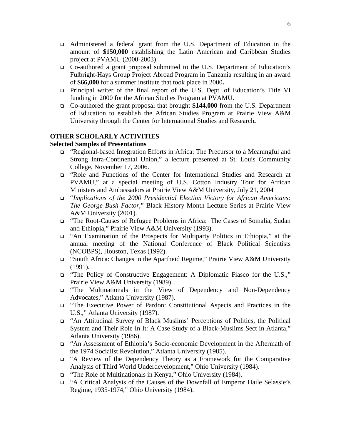- Administered a federal grant from the U.S. Department of Education in the amount of **\$150,000** establishing the Latin American and Caribbean Studies project at PVAMU (2000-2003)
- Co-authored a grant proposal submitted to the U.S. Department of Education's Fulbright-Hays Group Project Abroad Program in Tanzania resulting in an award of **\$66,000** for a summer institute that took place in 2000**.**
- Principal writer of the final report of the U.S. Dept. of Education's Title VI funding in 2000 for the African Studies Program at PVAMU.
- Co-authored the grant proposal that brought **\$144,000** from the U.S. Department of Education to establish the African Studies Program at Prairie View A&M University through the Center for International Studies and Research**.**

#### **OTHER SCHOLARLY ACTIVITIES**

#### **Selected Samples of Presentations**

- "Regional-based Integration Efforts in Africa: The Precursor to a Meaningful and Strong Intra-Continental Union," a lecture presented at St. Louis Community College, November 17, 2006.
- "Role and Functions of the Center for International Studies and Research at PVAMU," at a special meeting of U.S. Cotton Industry Tour for African Ministers and Ambassadors at Prairie View A&M University, July 21, 2004
- "*Implications of the 2000 Presidential Election Victory for African Americans: The George Bush Factor*," Black History Month Lecture Series at Prairie View A&M University (2001).
- "The Root-Causes of Refugee Problems in Africa: The Cases of Somalia, Sudan and Ethiopia," Prairie View A&M University (1993).
- "An Examination of the Prospects for Multiparty Politics in Ethiopia," at the annual meeting of the National Conference of Black Political Scientists (NCOBPS), Houston, Texas (1992).
- "South Africa: Changes in the Apartheid Regime," Prairie View A&M University (1991).
- "The Policy of Constructive Engagement: A Diplomatic Fiasco for the U.S.," Prairie View A&M University (1989).
- "The Multinationals in the View of Dependency and Non-Dependency Advocates," Atlanta University (1987).
- "The Executive Power of Pardon: Constitutional Aspects and Practices in the U.S.," Atlanta University (1987).
- "An Attitudinal Survey of Black Muslims' Perceptions of Politics, the Political System and Their Role In It: A Case Study of a Black-Muslims Sect in Atlanta," Atlanta University (1986).
- "An Assessment of Ethiopia's Socio-economic Development in the Aftermath of the 1974 Socialist Revolution," Atlanta University (1985).
- "A Review of the Dependency Theory as a Framework for the Comparative Analysis of Third World Underdevelopment," Ohio University (1984).
- "The Role of Multinationals in Kenya," Ohio University (1984).
- "A Critical Analysis of the Causes of the Downfall of Emperor Haile Selassie's Regime, 1935-1974," Ohio University (1984).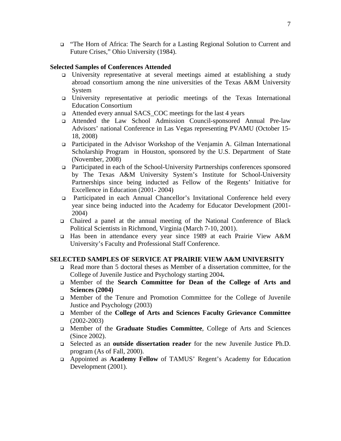"The Horn of Africa: The Search for a Lasting Regional Solution to Current and Future Crises," Ohio University (1984).

#### **Selected Samples of Conferences Attended**

- University representative at several meetings aimed at establishing a study abroad consortium among the nine universities of the Texas A&M University System
- University representative at periodic meetings of the Texas International Education Consortium
- □ Attended every annual SACS\_COC meetings for the last 4 years
- Attended the Law School Admission Council-sponsored Annual Pre-law Advisors' national Conference in Las Vegas representing PVAMU (October 15- 18, 2008)
- Participated in the Advisor Workshop of the Venjamin A. Gilman International Scholarship Program in Houston, sponsored by the U.S. Department of State (November, 2008)
- Participated in each of the School-University Partnerships conferences sponsored by The Texas A&M University System's Institute for School-University Partnerships since being inducted as Fellow of the Regents' Initiative for Excellence in Education (2001- 2004)
- Participated in each Annual Chancellor's Invitational Conference held every year since being inducted into the Academy for Educator Development (2001- 2004)
- Chaired a panel at the annual meeting of the National Conference of Black Political Scientists in Richmond, Virginia (March 7-10, 2001).
- Has been in attendance every year since 1989 at each Prairie View A&M University's Faculty and Professional Staff Conference.

#### **SELECTED SAMPLES OF SERVICE AT PRAIRIE VIEW A&M UNIVERSITY**

- Read more than 5 doctoral theses as Member of a dissertation committee, for the College of Juvenile Justice and Psychology starting 2004**.**
- Member of the **Search Committee for Dean of the College of Arts and Sciences (2004)**
- Member of the Tenure and Promotion Committee for the College of Juvenile Justice and Psychology (2003)
- Member of the **College of Arts and Sciences Faculty Grievance Committee** (2002-2003)
- Member of the **Graduate Studies Committee**, College of Arts and Sciences (Since 2002).
- Selected as an **outside dissertation reader** for the new Juvenile Justice Ph.D. program (As of Fall, 2000).
- Appointed as **Academy Fellow** of TAMUS' Regent's Academy for Education Development (2001).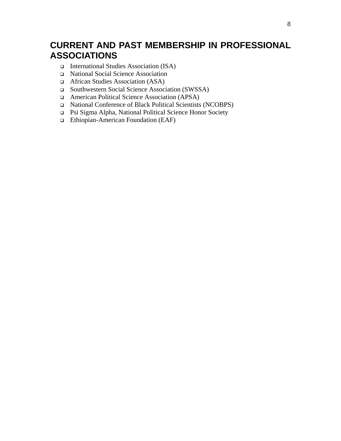# **CURRENT AND PAST MEMBERSHIP IN PROFESSIONAL ASSOCIATIONS**

- International Studies Association (ISA)
- National Social Science Association
- □ African Studies Association (ASA)
- Southwestern Social Science Association (SWSSA)
- American Political Science Association (APSA)
- National Conference of Black Political Scientists (NCOBPS)
- Psi Sigma Alpha, National Political Science Honor Society
- Ethiopian-American Foundation (EAF)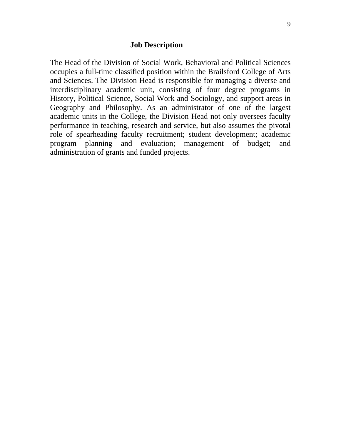#### **Job Description**

The Head of the Division of Social Work, Behavioral and Political Sciences occupies a full-time classified position within the Brailsford College of Arts and Sciences. The Division Head is responsible for managing a diverse and interdisciplinary academic unit, consisting of four degree programs in History, Political Science, Social Work and Sociology, and support areas in Geography and Philosophy. As an administrator of one of the largest academic units in the College, the Division Head not only oversees faculty performance in teaching, research and service, but also assumes the pivotal role of spearheading faculty recruitment; student development; academic program planning and evaluation; management of budget; and administration of grants and funded projects.